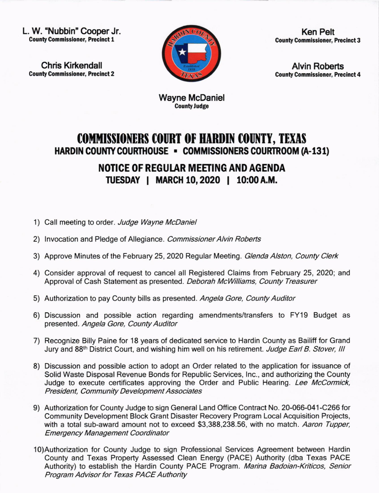L. W. "Nubbin" Cooper Jr. County Commlssloner, Preclnct 1

Chris Kirkendall **County Commissioner, Precinct 2** 



Ken Pelt **County Commissioner, Precinct 3** 

Alvin Roberts **County Commissioner, Precinct 4** 

Wayne McDaniel **County Judge** 

## COMMISSIONERS COURT OF HARDIN COUNTY, TEXAS HARDIN COUNTY COURTHOUSE . COMMISSIONERS COURTROOM (A-131)

NOTICE OF REGUIAR MEETING AND AGENDA TUESDAY | MARCH 10, 2020 | 10:00 A.M.

- 1) Call meeting to order. Judge Wayne McDaniel
- 2) Invocation and Pledge of Allegiance. Commissioner Alvin Roberts
- 3) Approve Minutes of the February 25, 2020 Regular Meeting. Glenda Alston, County Clerk
- 4) Consider approval of request to cancel all Registered Claims from February 25,2020; and Approval of Cash Statement as presented. Deborah McWilliams, County Treasurer
- 5) Authorization to pay County bills as presented. Angela Gore, County Auditor
- 6) Discussion and possible action regarding amendments/transfers to FY19 Budget as presented. Angela Gore, County Auditor
- 7) Recognize Billy Paine for 18 years of dedicated service to Hardin County as Bailiff for Grand Jury and 88<sup>th</sup> District Court, and wishing him well on his retirement. Judge Earl B. Stover, III
- 8) Discussion and possible action to adopt an Order related to the application for issuance of Solid Waste Disposal Revenue Bonds for Republic Services, lnc., and authorizing the County Judge to execute certificates approving the Order and Public Hearing. Lee McCormick, President, Community Development Associates
- 9) Authorization for County Judge to sign General Land Office Contract No. 20-066-041-C266 for Community Development Block Grant Disaster Recovery Program Local Acquisition Projects, with a total sub-award amount not to exceed \$3,388,238.56, with no match. Aaron Tupper, Emergency Management Coordinator
- 10)Authorization for County Judge to sign Professional Services Agreement between Hardin County and Texas Property Assessed Clean Energy (PACE) Authority (dba Texas PACE Authority) to establish the Hardin County PACE Program. Marina Badoian-Kriticos, Senior Program Advisor for Texas PACE Authority